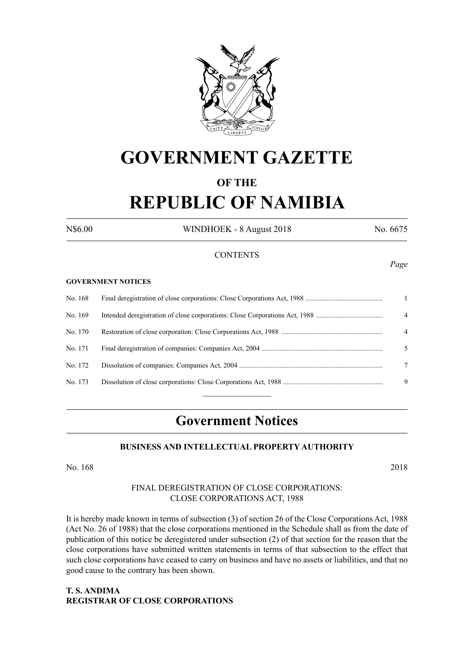

# **GOVERNMENT GAZETTE**

# **OF THE**

# **REPUBLIC OF NAMIBIA**

N\$6.00 WINDHOEK - 8 August 2018 No. 6675

*Page*

#### **CONTENTS**

#### **GOVERNMENT NOTICES**

| No. 168 | $\mathbf{1}$   |
|---------|----------------|
| No. 169 | $\overline{4}$ |
| No. 170 | $\overline{4}$ |
| No. 171 | 5.             |
| No. 172 | 7              |
| No. 173 | -9             |
|         |                |

# **Government Notices**

#### **BUSINESS AND INTELLECTUAL PROPERTY AUTHORITY**

No. 168 2018

### FINAL DEREGISTRATION OF CLOSE CORPORATIONS: CLOSE CORPORATIONS ACT, 1988

It is hereby made known in terms of subsection (3) of section 26 of the Close Corporations Act, 1988 (Act No. 26 of 1988) that the close corporations mentioned in the Schedule shall as from the date of publication of this notice be deregistered under subsection (2) of that section for the reason that the close corporations have submitted written statements in terms of that subsection to the effect that such close corporations have ceased to carry on business and have no assets or liabilities, and that no good cause to the contrary has been shown.

# **T. S. ANDIMA REGISTRAR OF CLOSE CORPORATIONS**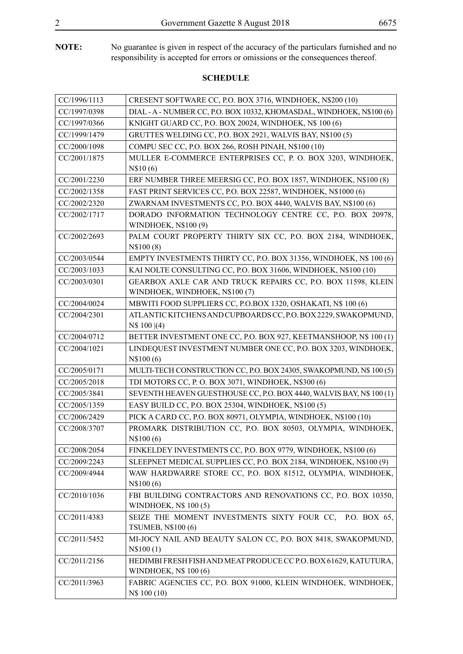**NOTE:** No guarantee is given in respect of the accuracy of the particulars furnished and no responsibility is accepted for errors or omissions or the consequences thereof.

| CC/1996/1113 | CRESENT SOFTWARE CC, P.O. BOX 3716, WINDHOEK, N\$200 (10)                                        |
|--------------|--------------------------------------------------------------------------------------------------|
| CC/1997/0398 | DIAL - A - NUMBER CC, P.O. BOX 10332, KHOMASDAL, WINDHOEK, N\$100 (6)                            |
| CC/1997/0366 | KNIGHT GUARD CC, P.O. BOX 20024, WINDHOEK, N\$ 100 (6)                                           |
| CC/1999/1479 | GRUTTES WELDING CC, P.O. BOX 2921, WALVIS BAY, N\$100 (5)                                        |
| CC/2000/1098 | COMPU SEC CC, P.O. BOX 266, ROSH PINAH, N\$100 (10)                                              |
| CC/2001/1875 | MULLER E-COMMERCE ENTERPRISES CC, P. O. BOX 3203, WINDHOEK,<br>N\$10(6)                          |
| CC/2001/2230 | ERF NUMBER THREE MEERSIG CC, P.O. BOX 1857, WINDHOEK, N\$100 (8)                                 |
| CC/2002/1358 | FAST PRINT SERVICES CC, P.O. BOX 22587, WINDHOEK, N\$1000 (6)                                    |
| CC/2002/2320 | ZWARNAM INVESTMENTS CC, P.O. BOX 4440, WALVIS BAY, N\$100 (6)                                    |
| CC/2002/1717 | DORADO INFORMATION TECHNOLOGY CENTRE CC, P.O. BOX 20978,<br>WINDHOEK, N\$100 (9)                 |
| CC/2002/2693 | PALM COURT PROPERTY THIRTY SIX CC, P.O. BOX 2184, WINDHOEK,<br>N\\$100(8)                        |
| CC/2003/0544 | EMPTY INVESTMENTS THIRTY CC, P.O. BOX 31356, WINDHOEK, N\$ 100 (6)                               |
| CC/2003/1033 | KAI NOLTE CONSULTING CC, P.O. BOX 31606, WINDHOEK, N\$100 (10)                                   |
| CC/2003/0301 | GEARBOX AXLE CAR AND TRUCK REPAIRS CC, P.O. BOX 11598, KLEIN<br>WINDHOEK, WINDHOEK, N\$100 (7)   |
| CC/2004/0024 | MBWITI FOOD SUPPLIERS CC, P.O.BOX 1320, OSHAKATI, N\$ 100 (6)                                    |
| CC/2004/2301 | ATLANTIC KITCHENS AND CUPBOARDS CC, P.O. BOX 2229, SWAKOPMUND,<br>$\text{NS } 100 \mid (4)$      |
| CC/2004/0712 | BETTER INVESTMENT ONE CC, P.O. BOX 927, KEETMANSHOOP, N\$ 100 (1)                                |
| CC/2004/1021 | LINDEQUEST INVESTMENT NUMBER ONE CC, P.O. BOX 3203, WINDHOEK,<br>N\$100(6)                       |
| CC/2005/0171 | MULTI-TECH CONSTRUCTION CC, P.O. BOX 24305, SWAKOPMUND, N\$ 100 (5)                              |
| CC/2005/2018 | TDI MOTORS CC, P. O. BOX 3071, WINDHOEK, N\$300 (6)                                              |
| CC/2005/3841 | SEVENTH HEAVEN GUESTHOUSE CC, P.O. BOX 4440, WALVIS BAY, N\$ 100 (1)                             |
| CC/2005/1359 | EASY BUILD CC, P.O. BOX 25304, WINDHOEK, N\$100 (5)                                              |
| CC/2006/2429 | PICK A CARD CC, P.O. BOX 80971, OLYMPIA, WINDHOEK, N\$100 (10)                                   |
| CC/2008/3707 | PROMARK DISTRIBUTION CC, P.O. BOX 80503, OLYMPIA, WINDHOEK,<br>N\$100(6)                         |
| CC/2008/2054 | FINKELDEY INVESTMENTS CC, P.O. BOX 9779, WINDHOEK, N\$100 (6)                                    |
| CC/2009/2243 | SLEEPNET MEDICAL SUPPLIES CC, P.O. BOX 2184, WINDHOEK, N\$100 (9)                                |
| CC/2009/4944 | WAW HARDWARRE STORE CC, P.O. BOX 81512, OLYMPIA, WINDHOEK,<br>N\$100(6)                          |
| CC/2010/1036 | FBI BUILDING CONTRACTORS AND RENOVATIONS CC, P.O. BOX 10350,<br><b>WINDHOEK, N\$ 100 (5)</b>     |
| CC/2011/4383 | SEIZE THE MOMENT INVESTMENTS SIXTY FOUR CC, P.O. BOX 65,<br><b>TSUMEB, N\$100 (6)</b>            |
| CC/2011/5452 | MI-JOCY NAIL AND BEAUTY SALON CC, P.O. BOX 8418, SWAKOPMUND,<br>N\$100(1)                        |
| CC/2011/2156 | HEDIMBI FRESH FISH AND MEAT PRODUCE CC P.O. BOX 61629, KATUTURA,<br><b>WINDHOEK, N\$ 100 (6)</b> |
| CC/2011/3963 | FABRIC AGENCIES CC, P.O. BOX 91000, KLEIN WINDHOEK, WINDHOEK,<br>N\$ 100 (10)                    |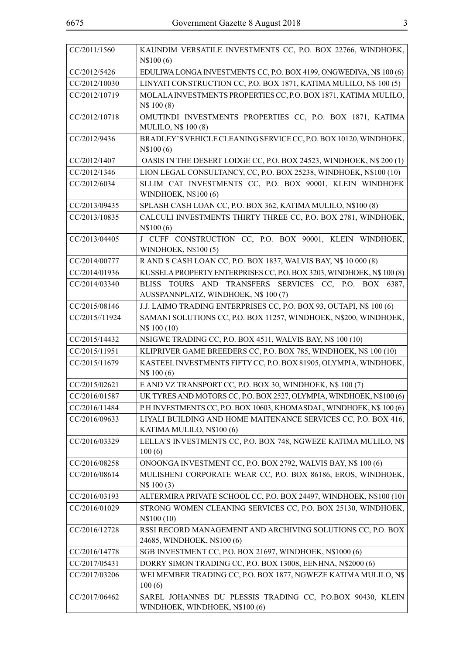| CC/2011/1560   | KAUNDIM VERSATILE INVESTMENTS CC, P.O. BOX 22766, WINDHOEK,<br>N\\$100(6)                     |
|----------------|-----------------------------------------------------------------------------------------------|
| CC/2012/5426   | EDULIWA LONGA INVESTMENTS CC, P.O. BOX 4199, ONGWEDIVA, N\$ 100 (6)                           |
| CC/2012/10030  | LINYATI CONSTRUCTION CC, P.O. BOX 1871, KATIMA MULILO, N\$ 100 (5)                            |
| CC/2012/10719  | MOLALA INVESTMENTS PROPERTIES CC, P.O. BOX 1871, KATIMA MULILO,<br>N\$ 100 (8)                |
| CC/2012/10718  | OMUTINDI INVESTMENTS PROPERTIES CC, P.O. BOX 1871, KATIMA<br><b>MULILO, N\$ 100 (8)</b>       |
| CC/2012/9436   | BRADLEY'S VEHICLE CLEANING SERVICE CC, P.O. BOX 10120, WINDHOEK,<br>N\$100(6)                 |
| CC/2012/1407   | OASIS IN THE DESERT LODGE CC, P.O. BOX 24523, WINDHOEK, N\$ 200 (1)                           |
| CC/2012/1346   | LION LEGAL CONSULTANCY, CC, P.O. BOX 25238, WINDHOEK, N\$100 (10)                             |
| CC/2012/6034   | SLLIM CAT INVESTMENTS CC, P.O. BOX 90001, KLEIN WINDHOEK<br><b>WINDHOEK, N\$100 (6)</b>       |
| CC/2013/09435  | SPLASH CASH LOAN CC, P.O. BOX 362, KATIMA MULILO, N\$100 (8)                                  |
| CC/2013/10835  | CALCULI INVESTMENTS THIRTY THREE CC, P.O. BOX 2781, WINDHOEK,<br>N\\$100 (6)                  |
| CC/2013/04405  | J CUFF CONSTRUCTION CC, P.O. BOX 90001, KLEIN WINDHOEK,<br><b>WINDHOEK, N\$100 (5)</b>        |
| CC/2014/00777  | R AND S CASH LOAN CC, P.O. BOX 1837, WALVIS BAY, N\$ 10 000 (8)                               |
| CC/2014/01936  | KUSSELA PROPERTY ENTERPRISES CC, P.O. BOX 3203, WINDHOEK, N\$ 100 (8)                         |
| CC/2014/03340  | BLISS TOURS AND TRANSFERS SERVICES CC, P.O. BOX 6387,<br>AUSSPANNPLATZ, WINDHOEK, N\$ 100 (7) |
| CC/2015/08146  | J.J. LAIMO TRADING ENTERPRISES CC, P.O. BOX 93, OUTAPI, N\$ 100 (6)                           |
| CC/2015//11924 | SAMANI SOLUTIONS CC, P.O. BOX 11257, WINDHOEK, N\$200, WINDHOEK,<br>N\$ 100 (10)              |
| CC/2015/14432  | NSIGWE TRADING CC, P.O. BOX 4511, WALVIS BAY, N\$ 100 (10)                                    |
| CC/2015/11951  | KLIPRIVER GAME BREEDERS CC, P.O. BOX 785, WINDHOEK, N\$ 100 (10)                              |
| CC/2015/11679  | KASTEEL INVESTMENTS FIFTY CC, P.O. BOX 81905, OLYMPIA, WINDHOEK,<br>N\$ 100 (6)               |
| CC/2015/02621  | E AND VZ TRANSPORT CC, P.O. BOX 30, WINDHOEK, N\$ 100 (7)                                     |
| CC/2016/01587  | UK TYRES AND MOTORS CC, P.O. BOX 2527, OLYMPIA, WINDHOEK, N\$100 (6)                          |
| CC/2016/11484  | PH INVESTMENTS CC, P.O. BOX 10603, KHOMASDAL, WINDHOEK, N\$ 100 (6)                           |
| CC/2016/09633  | LIYALI BUILDING AND HOME MAITENANCE SERVICES CC, P.O. BOX 416,<br>KATIMA MULILO, N\$100 (6)   |
| CC/2016/03329  | LELLA'S INVESTMENTS CC, P.O. BOX 748, NGWEZE KATIMA MULILO, N\$<br>100(6)                     |
| CC/2016/08258  | ONOONGA INVESTMENT CC, P.O. BOX 2792, WALVIS BAY, N\$ 100 (6)                                 |
| CC/2016/08614  | MULISHENI CORPORATE WEAR CC, P.O. BOX 86186, EROS, WINDHOEK,<br>N\$ 100 (3)                   |
| CC/2016/03193  | ALTERMIRA PRIVATE SCHOOL CC, P.O. BOX 24497, WINDHOEK, N\$100 (10)                            |
| CC/2016/01029  | STRONG WOMEN CLEANING SERVICES CC, P.O. BOX 25130, WINDHOEK,<br>N\\$100 (10)                  |
| CC/2016/12728  | RSSI RECORD MANAGEMENT AND ARCHIVING SOLUTIONS CC, P.O. BOX<br>24685, WINDHOEK, N\$100 (6)    |
| CC/2016/14778  | SGB INVESTMENT CC, P.O. BOX 21697, WINDHOEK, N\$1000 (6)                                      |
| CC/2017/05431  | DORRY SIMON TRADING CC, P.O. BOX 13008, EENHNA, N\$2000 (6)                                   |
| CC/2017/03206  | WEI MEMBER TRADING CC, P.O. BOX 1877, NGWEZE KATIMA MULILO, N\$<br>100(6)                     |
| CC/2017/06462  | SAREL JOHANNES DU PLESSIS TRADING CC, P.O.BOX 90430, KLEIN<br>WINDHOEK, WINDHOEK, N\$100 (6)  |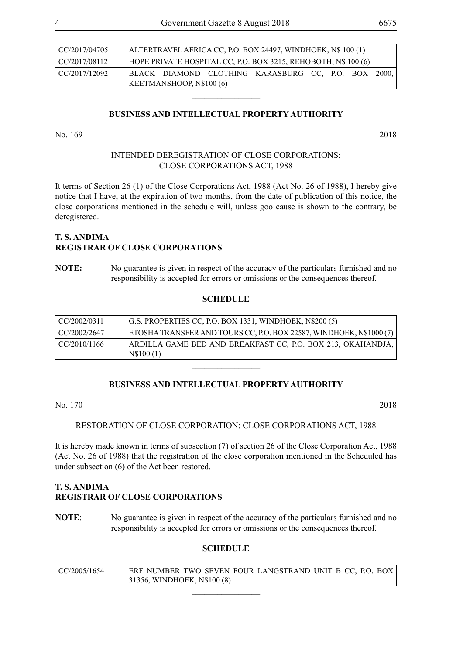| $\vert$ CC/2017/04705 | ALTERTRAVEL AFRICA CC, P.O. BOX 24497, WINDHOEK, N\$ 100 (1) |                                                                |  |                                                     |  |  |  |  |
|-----------------------|--------------------------------------------------------------|----------------------------------------------------------------|--|-----------------------------------------------------|--|--|--|--|
| $\vert$ CC/2017/08112 |                                                              | HOPE PRIVATE HOSPITAL CC, P.O. BOX 3215, REHOBOTH, N\$ 100 (6) |  |                                                     |  |  |  |  |
| I CC/2017/12092       |                                                              |                                                                |  | BLACK DIAMOND CLOTHING KARASBURG CC, P.O. BOX 2000, |  |  |  |  |
|                       | KEETMANSHOOP, N\$100 <sub>(6)</sub>                          |                                                                |  |                                                     |  |  |  |  |

 $\frac{1}{2}$ 

No. 169 2018

#### INTENDED DEREGISTRATION OF CLOSE CORPORATIONS: CLOSE CORPORATIONS ACT, 1988

It terms of Section 26 (1) of the Close Corporations Act, 1988 (Act No. 26 of 1988), I hereby give notice that I have, at the expiration of two months, from the date of publication of this notice, the close corporations mentioned in the schedule will, unless goo cause is shown to the contrary, be deregistered.

### **T. S. ANDIMA REGISTRAR OF CLOSE CORPORATIONS**

**NOTE:** No guarantee is given in respect of the accuracy of the particulars furnished and no responsibility is accepted for errors or omissions or the consequences thereof.

#### **SCHEDULE**

| $\vert$ CC/2002/0311 | G.S. PROPERTIES CC, P.O. BOX 1331, WINDHOEK, N\$200 (5)                  |
|----------------------|--------------------------------------------------------------------------|
| CC/2002/2647         | ETOSHA TRANSFER AND TOURS CC, P.O. BOX 22587, WINDHOEK, N\$1000 (7)      |
| CC/2010/1166         | ARDILLA GAME BED AND BREAKFAST CC, P.O. BOX 213, OKAHANDJA,<br>N\$100(1) |

 $\overline{\phantom{a}}$  , where  $\overline{\phantom{a}}$ 

#### **BUSINESS AND INTELLECTUAL PROPERTY AUTHORITY**

No. 170 2018

RESTORATION OF CLOSE CORPORATION: CLOSE CORPORATIONS ACT, 1988

It is hereby made known in terms of subsection (7) of section 26 of the Close Corporation Act, 1988 (Act No. 26 of 1988) that the registration of the close corporation mentioned in the Scheduled has under subsection (6) of the Act been restored.

# **T. S. ANDIMA REGISTRAR OF CLOSE CORPORATIONS**

**NOTE**: No guarantee is given in respect of the accuracy of the particulars furnished and no responsibility is accepted for errors or omissions or the consequences thereof.

| CC/2005/1654 | ERF NUMBER TWO SEVEN FOUR LANGSTRAND UNIT B CC, P.O. BOX<br>31356, WINDHOEK, N\$100 (8) |  |  |  |  |  |
|--------------|-----------------------------------------------------------------------------------------|--|--|--|--|--|
|              |                                                                                         |  |  |  |  |  |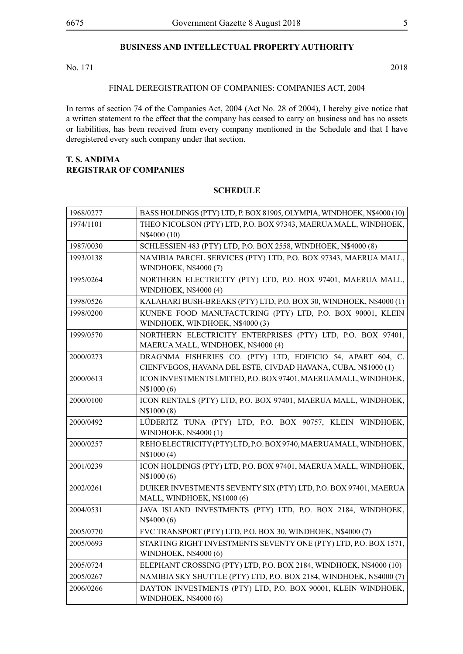No. 171 2018

FINAL DEREGISTRATION OF COMPANIES: COMPANIES ACT, 2004

In terms of section 74 of the Companies Act, 2004 (Act No. 28 of 2004), I hereby give notice that a written statement to the effect that the company has ceased to carry on business and has no assets or liabilities, has been received from every company mentioned in the Schedule and that I have deregistered every such company under that section.

#### **T. S. ANDIMA REGISTRAR OF COMPANIES**

| 1968/0277 | BASS HOLDINGS (PTY) LTD, P. BOX 81905, OLYMPIA, WINDHOEK, N\$4000 (10)                                                       |
|-----------|------------------------------------------------------------------------------------------------------------------------------|
| 1974/1101 | THEO NICOLSON (PTY) LTD, P.O. BOX 97343, MAERUA MALL, WINDHOEK,<br>N\$4000 (10)                                              |
| 1987/0030 | SCHLESSIEN 483 (PTY) LTD, P.O. BOX 2558, WINDHOEK, N\$4000 (8)                                                               |
| 1993/0138 | NAMIBIA PARCEL SERVICES (PTY) LTD, P.O. BOX 97343, MAERUA MALL,<br>WINDHOEK, N\$4000 (7)                                     |
| 1995/0264 | NORTHERN ELECTRICITY (PTY) LTD, P.O. BOX 97401, MAERUA MALL,<br>WINDHOEK, N\$4000 (4)                                        |
| 1998/0526 | KALAHARI BUSH-BREAKS (PTY) LTD, P.O. BOX 30, WINDHOEK, N\$4000 (1)                                                           |
| 1998/0200 | KUNENE FOOD MANUFACTURING (PTY) LTD, P.O. BOX 90001, KLEIN<br>WINDHOEK, WINDHOEK, N\$4000 (3)                                |
| 1999/0570 | NORTHERN ELECTRICITY ENTERPRISES (PTY) LTD, P.O. BOX 97401,<br>MAERUA MALL, WINDHOEK, N\$4000 (4)                            |
| 2000/0273 | DRAGNMA FISHERIES CO. (PTY) LTD, EDIFICIO 54, APART 604, C.<br>CIENFVEGOS, HAVANA DEL ESTE, CIVDAD HAVANA, CUBA, N\$1000 (1) |
| 2000/0613 | ICON INVESTMENTS LMITED, P.O. BOX 97401, MAERUAMALL, WINDHOEK,<br>N\$1000 (6)                                                |
| 2000/0100 | ICON RENTALS (PTY) LTD, P.O. BOX 97401, MAERUA MALL, WINDHOEK,<br>N\$1000(8)                                                 |
| 2000/0492 | LÜDERITZ TUNA (PTY) LTD, P.O. BOX 90757, KLEIN WINDHOEK,<br>WINDHOEK, N\$4000 (1)                                            |
| 2000/0257 | REHO ELECTRICITY (PTY) LTD, P.O. BOX 9740, MAERUAMALL, WINDHOEK,<br>N\$1000(4)                                               |
| 2001/0239 | ICON HOLDINGS (PTY) LTD, P.O. BOX 97401, MAERUA MALL, WINDHOEK,<br>N\$1000 (6)                                               |
| 2002/0261 | DUIKER INVESTMENTS SEVENTY SIX (PTY) LTD, P.O. BOX 97401, MAERUA<br>MALL, WINDHOEK, N\$1000 (6)                              |
| 2004/0531 | JAVA ISLAND INVESTMENTS (PTY) LTD, P.O. BOX 2184, WINDHOEK,<br>N\$4000 (6)                                                   |
| 2005/0770 | FVC TRANSPORT (PTY) LTD, P.O. BOX 30, WINDHOEK, N\$4000 (7)                                                                  |
| 2005/0693 | STARTING RIGHT INVESTMENTS SEVENTY ONE (PTY) LTD, P.O. BOX 1571,<br>WINDHOEK, N\$4000 (6)                                    |
| 2005/0724 | ELEPHANT CROSSING (PTY) LTD, P.O. BOX 2184, WINDHOEK, N\$4000 (10)                                                           |
| 2005/0267 | NAMIBIA SKY SHUTTLE (PTY) LTD, P.O. BOX 2184, WINDHOEK, N\$4000 (7)                                                          |
| 2006/0266 | DAYTON INVESTMENTS (PTY) LTD, P.O. BOX 90001, KLEIN WINDHOEK,<br>WINDHOEK, N\$4000 (6)                                       |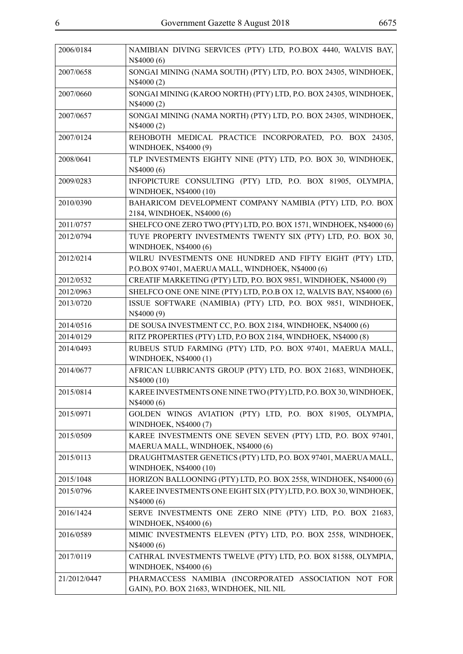| 2006/0184    | NAMIBIAN DIVING SERVICES (PTY) LTD, P.O.BOX 4440, WALVIS BAY,<br>N\$4000 (6)                                  |
|--------------|---------------------------------------------------------------------------------------------------------------|
| 2007/0658    | SONGAI MINING (NAMA SOUTH) (PTY) LTD, P.O. BOX 24305, WINDHOEK,<br>N\$4000 (2)                                |
| 2007/0660    | SONGAI MINING (KAROO NORTH) (PTY) LTD, P.O. BOX 24305, WINDHOEK,<br>N\$4000 (2)                               |
| 2007/0657    | SONGAI MINING (NAMA NORTH) (PTY) LTD, P.O. BOX 24305, WINDHOEK,<br>N\$4000 (2)                                |
| 2007/0124    | REHOBOTH MEDICAL PRACTICE INCORPORATED, P.O. BOX 24305,<br>WINDHOEK, N\$4000 (9)                              |
| 2008/0641    | TLP INVESTMENTS EIGHTY NINE (PTY) LTD, P.O. BOX 30, WINDHOEK,<br>N\$4000 (6)                                  |
| 2009/0283    | INFOPICTURE CONSULTING (PTY) LTD, P.O. BOX 81905, OLYMPIA,<br>WINDHOEK, N\$4000 (10)                          |
| 2010/0390    | BAHARICOM DEVELOPMENT COMPANY NAMIBIA (PTY) LTD, P.O. BOX<br>2184, WINDHOEK, N\$4000 (6)                      |
| 2011/0757    | SHELFCO ONE ZERO TWO (PTY) LTD, P.O. BOX 1571, WINDHOEK, N\$4000 (6)                                          |
| 2012/0794    | TUYE PROPERTY INVESTMENTS TWENTY SIX (PTY) LTD, P.O. BOX 30,<br>WINDHOEK, N\$4000 (6)                         |
| 2012/0214    | WILRU INVESTMENTS ONE HUNDRED AND FIFTY EIGHT (PTY) LTD,<br>P.O.BOX 97401, MAERUA MALL, WINDHOEK, N\$4000 (6) |
| 2012/0532    | CREATIF MARKETING (PTY) LTD, P.O. BOX 9851, WINDHOEK, N\$4000 (9)                                             |
| 2012/0963    | SHELFCO ONE ONE NINE (PTY) LTD, P.O.B OX 12, WALVIS BAY, N\$4000 (6)                                          |
| 2013/0720    | ISSUE SOFTWARE (NAMIBIA) (PTY) LTD, P.O. BOX 9851, WINDHOEK,<br>N\$4000 (9)                                   |
| 2014/0516    | DE SOUSA INVESTMENT CC, P.O. BOX 2184, WINDHOEK, N\$4000 (6)                                                  |
| 2014/0129    | RITZ PROPERTIES (PTY) LTD, P.O BOX 2184, WINDHOEK, N\$4000 (8)                                                |
| 2014/0493    | RUBEUS STUD FARMING (PTY) LTD, P.O. BOX 97401, MAERUA MALL,<br>WINDHOEK, N\$4000 (1)                          |
| 2014/0677    | AFRICAN LUBRICANTS GROUP (PTY) LTD, P.O. BOX 21683, WINDHOEK,<br>N\$4000 (10)                                 |
| 2015/0814    | KAREE INVESTMENTS ONE NINE TWO (PTY) LTD, P.O. BOX 30, WINDHOEK,<br>N\$4000 (6)                               |
| 2015/0971    | GOLDEN WINGS AVIATION (PTY) LTD, P.O. BOX 81905, OLYMPIA,<br>WINDHOEK, N\$4000 (7)                            |
| 2015/0509    | KAREE INVESTMENTS ONE SEVEN SEVEN (PTY) LTD, P.O. BOX 97401,<br>MAERUA MALL, WINDHOEK, N\$4000 (6)            |
| 2015/0113    | DRAUGHTMASTER GENETICS (PTY) LTD, P.O. BOX 97401, MAERUA MALL,<br>WINDHOEK, N\$4000 (10)                      |
| 2015/1048    | HORIZON BALLOONING (PTY) LTD, P.O. BOX 2558, WINDHOEK, N\$4000 (6)                                            |
| 2015/0796    | KAREE INVESTMENTS ONE EIGHT SIX (PTY) LTD, P.O. BOX 30, WINDHOEK,<br>N\$4000 (6)                              |
| 2016/1424    | SERVE INVESTMENTS ONE ZERO NINE (PTY) LTD, P.O. BOX 21683,<br>WINDHOEK, N\$4000 (6)                           |
| 2016/0589    | MIMIC INVESTMENTS ELEVEN (PTY) LTD, P.O. BOX 2558, WINDHOEK,<br>N\$4000 (6)                                   |
| 2017/0119    | CATHRAL INVESTMENTS TWELVE (PTY) LTD, P.O. BOX 81588, OLYMPIA,<br>WINDHOEK, N\$4000 (6)                       |
| 21/2012/0447 | PHARMACCESS NAMIBIA (INCORPORATED ASSOCIATION NOT FOR<br>GAIN), P.O. BOX 21683, WINDHOEK, NIL NIL             |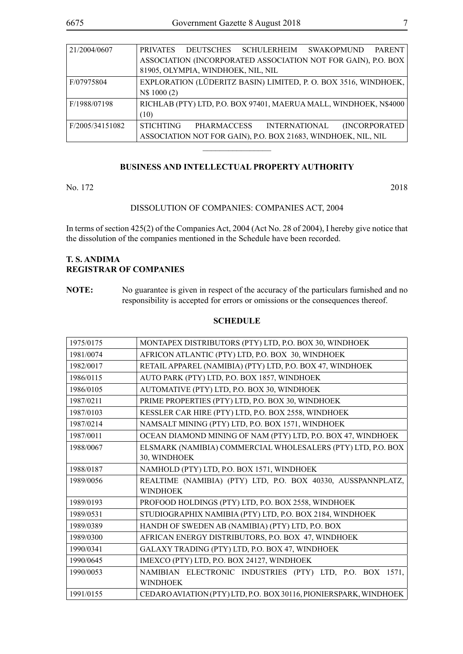| 21/2004/0607    | DEUTSCHES SCHULERHEIM SWAKOPMUND PARENT<br><b>PRIVATES</b>        |  |  |  |  |  |
|-----------------|-------------------------------------------------------------------|--|--|--|--|--|
|                 | ASSOCIATION (INCORPORATED ASSOCIATION NOT FOR GAIN), P.O. BOX     |  |  |  |  |  |
|                 | 81905, OLYMPIA, WINDHOEK, NIL, NIL                                |  |  |  |  |  |
| F/07975804      | EXPLORATION (LÜDERITZ BASIN) LIMITED, P. O. BOX 3516, WINDHOEK,   |  |  |  |  |  |
|                 | N\$ 1000 (2)                                                      |  |  |  |  |  |
| F/1988/07198    | RICHLAB (PTY) LTD, P.O. BOX 97401, MAERUA MALL, WINDHOEK, N\$4000 |  |  |  |  |  |
|                 | (10)                                                              |  |  |  |  |  |
| F/2005/34151082 | <b>STICHTING</b><br>(INCORPORATED<br>PHARMACCESS INTERNATIONAL    |  |  |  |  |  |
|                 | ASSOCIATION NOT FOR GAIN), P.O. BOX 21683, WINDHOEK, NIL, NIL     |  |  |  |  |  |

 $\frac{1}{2}$ 

No. 172 2018

#### DISSOLUTION OF COMPANIES: COMPANIES ACT, 2004

In terms of section 425(2) of the Companies Act, 2004 (Act No. 28 of 2004), I hereby give notice that the dissolution of the companies mentioned in the Schedule have been recorded.

# **T. S. ANDIMA REGISTRAR OF COMPANIES**

**NOTE:** No guarantee is given in respect of the accuracy of the particulars furnished and no responsibility is accepted for errors or omissions or the consequences thereof.

| 1975/0175 | MONTAPEX DISTRIBUTORS (PTY) LTD, P.O. BOX 30, WINDHOEK            |
|-----------|-------------------------------------------------------------------|
| 1981/0074 | AFRICON ATLANTIC (PTY) LTD, P.O. BOX 30, WINDHOEK                 |
| 1982/0017 | RETAIL APPAREL (NAMIBIA) (PTY) LTD, P.O. BOX 47, WINDHOEK         |
| 1986/0115 | AUTO PARK (PTY) LTD, P.O. BOX 1857, WINDHOEK                      |
| 1986/0105 | AUTOMATIVE (PTY) LTD, P.O. BOX 30, WINDHOEK                       |
| 1987/0211 | PRIME PROPERTIES (PTY) LTD, P.O. BOX 30, WINDHOEK                 |
| 1987/0103 | KESSLER CAR HIRE (PTY) LTD, P.O. BOX 2558, WINDHOEK               |
| 1987/0214 | NAMSALT MINING (PTY) LTD, P.O. BOX 1571, WINDHOEK                 |
| 1987/0011 | OCEAN DIAMOND MINING OF NAM (PTY) LTD, P.O. BOX 47, WINDHOEK      |
| 1988/0067 | ELSMARK (NAMIBIA) COMMERCIAL WHOLESALERS (PTY) LTD, P.O. BOX      |
|           | 30, WINDHOEK                                                      |
| 1988/0187 | NAMHOLD (PTY) LTD, P.O. BOX 1571, WINDHOEK                        |
| 1989/0056 | REALTIME (NAMIBIA) (PTY) LTD, P.O. BOX 40330, AUSSPANNPLATZ,      |
|           | <b>WINDHOEK</b>                                                   |
| 1989/0193 | PROFOOD HOLDINGS (PTY) LTD, P.O. BOX 2558, WINDHOEK               |
| 1989/0531 | STUDIOGRAPHIX NAMIBIA (PTY) LTD, P.O. BOX 2184, WINDHOEK          |
| 1989/0389 | HANDH OF SWEDEN AB (NAMIBIA) (PTY) LTD, P.O. BOX                  |
| 1989/0300 | AFRICAN ENERGY DISTRIBUTORS, P.O. BOX 47, WINDHOEK                |
| 1990/0341 | GALAXY TRADING (PTY) LTD, P.O. BOX 47, WINDHOEK                   |
| 1990/0645 | IMEXCO (PTY) LTD, P.O. BOX 24127, WINDHOEK                        |
| 1990/0053 | NAMIBIAN ELECTRONIC INDUSTRIES (PTY) LTD, P.O. BOX 1571,          |
|           | <b>WINDHOEK</b>                                                   |
| 1991/0155 | CEDARO AVIATION (PTY) LTD, P.O. BOX 30116, PIONIERSPARK, WINDHOEK |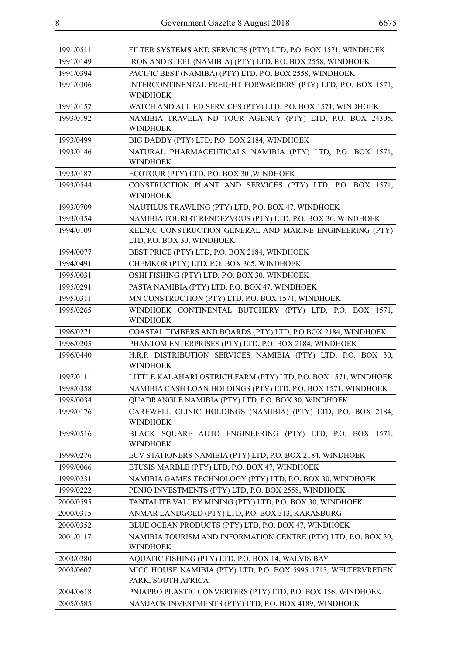| 1991/0511 | FILTER SYSTEMS AND SERVICES (PTY) LTD, P.O. BOX 1571, WINDHOEK                                                         |
|-----------|------------------------------------------------------------------------------------------------------------------------|
| 1991/0149 | IRON AND STEEL (NAMIBIA) (PTY) LTD, P.O. BOX 2558, WINDHOEK                                                            |
| 1991/0394 | PACIFIC BEST (NAMIBA) (PTY) LTD, P.O. BOX 2558, WINDHOEK                                                               |
| 1991/0306 | INTERCONTINENTAL FREIGHT FORWARDERS (PTY) LTD, P.O. BOX 1571,                                                          |
|           | <b>WINDHOEK</b>                                                                                                        |
| 1991/0157 | WATCH AND ALLIED SERVICES (PTY) LTD, P.O. BOX 1571, WINDHOEK                                                           |
| 1993/0192 | NAMIBIA TRAVELA ND TOUR AGENCY (PTY) LTD, P.O. BOX 24305,                                                              |
|           | <b>WINDHOEK</b>                                                                                                        |
| 1993/0499 | BIG DADDY (PTY) LTD, P.O. BOX 2184, WINDHOEK                                                                           |
| 1993/0146 | NATURAL PHARMACEUTICALS NAMIBIA (PTY) LTD, P.O. BOX 1571,                                                              |
|           | <b>WINDHOEK</b>                                                                                                        |
| 1993/0187 | ECOTOUR (PTY) LTD, P.O. BOX 30, WINDHOEK                                                                               |
| 1993/0544 | CONSTRUCTION PLANT AND SERVICES (PTY) LTD, P.O. BOX 1571,<br><b>WINDHOEK</b>                                           |
| 1993/0709 | NAUTILUS TRAWLING (PTY) LTD, P.O. BOX 47, WINDHOEK                                                                     |
| 1993/0354 | NAMIBIA TOURIST RENDEZVOUS (PTY) LTD, P.O. BOX 30, WINDHOEK                                                            |
| 1994/0109 | KELNIC CONSTRUCTION GENERAL AND MARINE ENGINEERING (PTY)                                                               |
|           | LTD, P.O. BOX 30, WINDHOEK                                                                                             |
| 1994/0077 | BEST PRICE (PTY) LTD, P.O. BOX 2184, WINDHOEK                                                                          |
| 1994/0491 | CHEMKOR (PTY) LTD, P.O. BOX 365, WINDHOEK                                                                              |
| 1995/0031 | OSHI FISHING (PTY) LTD, P.O. BOX 30, WINDHOEK                                                                          |
| 1995/0291 | PASTA NAMIBIA (PTY) LTD, P.O. BOX 47, WINDHOEK                                                                         |
| 1995/0311 | MN CONSTRUCTION (PTY) LTD, P.O. BOX 1571, WINDHOEK                                                                     |
| 1995/0265 | WINDHOEK CONTINENTAL BUTCHERY (PTY) LTD, P.O. BOX 1571,                                                                |
|           | <b>WINDHOEK</b>                                                                                                        |
|           |                                                                                                                        |
| 1996/0271 | COASTAL TIMBERS AND BOARDS (PTY) LTD, P.O.BOX 2184, WINDHOEK                                                           |
| 1996/0205 | PHANTOM ENTERPRISES (PTY) LTD, P.O. BOX 2184, WINDHOEK                                                                 |
| 1996/0440 | H.R.P. DISTRIBUTION SERVICES NAMIBIA (PTY) LTD, P.O. BOX 30,<br><b>WINDHOEK</b>                                        |
| 1997/0111 |                                                                                                                        |
| 1998/0358 | LITTLE KALAHARI OSTRICH FARM (PTY) LTD, P.O. BOX 1571, WINDHOEK                                                        |
| 1998/0034 | NAMIBIA CASH LOAN HOLDINGS (PTY) LTD, P.O. BOX 1571, WINDHOEK<br>QUADRANGLE NAMIBIA (PTY) LTD, P.O. BOX 30, WINDHOEK   |
| 1999/0176 | CAREWELL CLINIC HOLDINGS (NAMIBIA) (PTY) LTD, P.O. BOX 2184,                                                           |
|           | <b>WINDHOEK</b>                                                                                                        |
| 1999/0516 | BLACK SQUARE AUTO ENGINEERING (PTY) LTD, P.O. BOX 1571,                                                                |
| 1999/0276 | <b>WINDHOEK</b><br>ECV STATIONERS NAMIBIA (PTY) LTD, P.O. BOX 2184, WINDHOEK                                           |
| 1999/0066 | ETUSIS MARBLE (PTY) LTD, P.O. BOX 47, WINDHOEK                                                                         |
| 1999/0231 | NAMIBIA GAMES TECHNOLOGY (PTY) LTD, P.O. BOX 30, WINDHOEK                                                              |
| 1999/0222 | PENJO INVESTMENTS (PTY) LTD, P.O. BOX 2558, WINDHOEK                                                                   |
| 2000/0595 | TANTALITE VALLEY MINING (PTY) LTD, P.O. BOX 30, WINDHOEK                                                               |
| 2000/0315 | ANMAR LANDGOED (PTY) LTD, P.O. BOX 313, KARASBURG                                                                      |
| 2000/0352 | BLUE OCEAN PRODUCTS (PTY) LTD, P.O. BOX 47, WINDHOEK                                                                   |
| 2001/0117 | NAMIBIA TOURISM AND INFORMATION CENTRE (PTY) LTD, P.O. BOX 30,                                                         |
|           | <b>WINDHOEK</b>                                                                                                        |
| 2003/0280 | AQUATIC FISHING (PTY) LTD, P.O. BOX 14, WALVIS BAY                                                                     |
| 2003/0607 | MICC HOUSE NAMIBIA (PTY) LTD, P.O. BOX 5995 1715, WELTERVREDEN                                                         |
|           | PARK, SOUTH AFRICA                                                                                                     |
| 2004/0618 | PNIAPRO PLASTIC CONVERTERS (PTY) LTD, P.O. BOX 156, WINDHOEK<br>NAMJACK INVESTMENTS (PTY) LTD, P.O. BOX 4189, WINDHOEK |